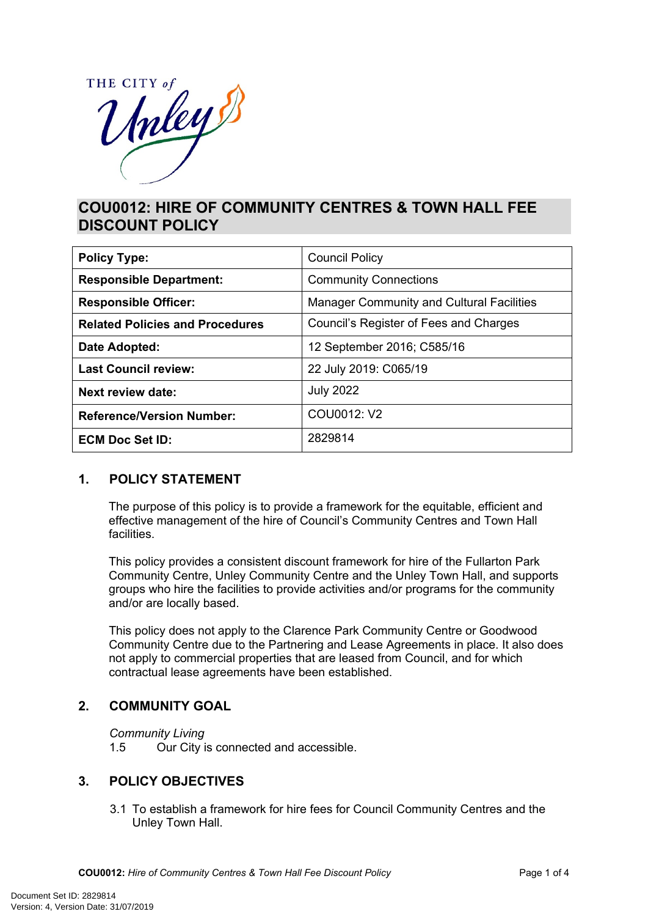

# **COU0012: HIRE OF COMMUNITY CENTRES & TOWN HALL FEE DISCOUNT POLICY**

| <b>Policy Type:</b>                    | <b>Council Policy</b>                            |  |
|----------------------------------------|--------------------------------------------------|--|
| <b>Responsible Department:</b>         | <b>Community Connections</b>                     |  |
| <b>Responsible Officer:</b>            | <b>Manager Community and Cultural Facilities</b> |  |
| <b>Related Policies and Procedures</b> | Council's Register of Fees and Charges           |  |
| Date Adopted:                          | 12 September 2016; C585/16                       |  |
| <b>Last Council review:</b>            | 22 July 2019: C065/19                            |  |
| Next review date:                      | <b>July 2022</b>                                 |  |
| <b>Reference/Version Number:</b>       | COU0012: V2                                      |  |
| <b>ECM Doc Set ID:</b>                 | 2829814                                          |  |

## **1. POLICY STATEMENT**

The purpose of this policy is to provide a framework for the equitable, efficient and effective management of the hire of Council's Community Centres and Town Hall **facilities** 

This policy provides a consistent discount framework for hire of the Fullarton Park Community Centre, Unley Community Centre and the Unley Town Hall, and supports groups who hire the facilities to provide activities and/or programs for the community and/or are locally based.

This policy does not apply to the Clarence Park Community Centre or Goodwood Community Centre due to the Partnering and Lease Agreements in place. It also does not apply to commercial properties that are leased from Council, and for which contractual lease agreements have been established.

# **2. COMMUNITY GOAL**

*Community Living*

1.5 Our City is connected and accessible.

## **3. POLICY OBJECTIVES**

3.1 To establish a framework for hire fees for Council Community Centres and the Unley Town Hall.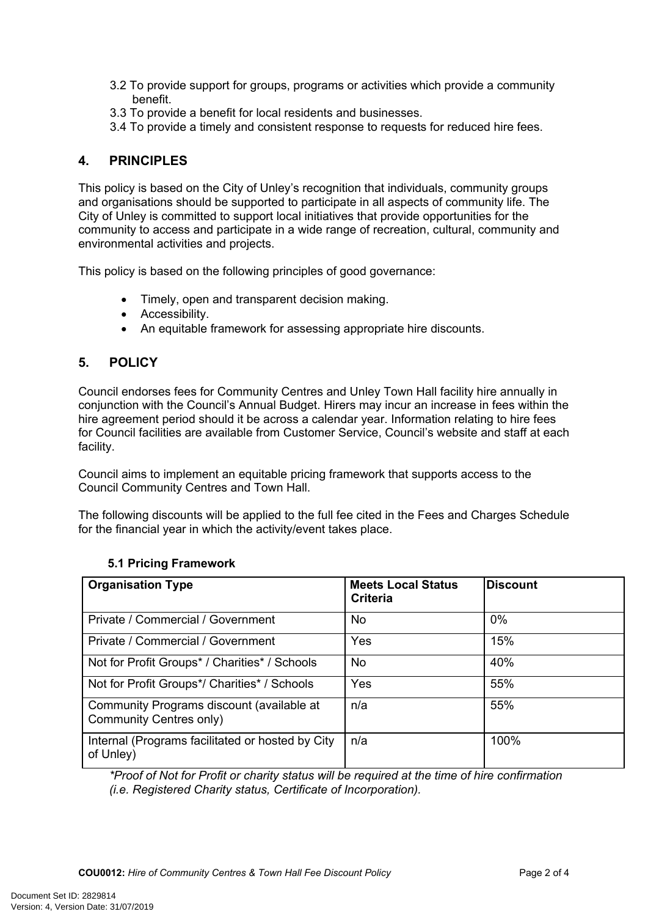- 3.2 To provide support for groups, programs or activities which provide a community benefit.
- 3.3 To provide a benefit for local residents and businesses.
- 3.4 To provide a timely and consistent response to requests for reduced hire fees.

# **4. PRINCIPLES**

This policy is based on the City of Unley's recognition that individuals, community groups and organisations should be supported to participate in all aspects of community life. The City of Unley is committed to support local initiatives that provide opportunities for the community to access and participate in a wide range of recreation, cultural, community and environmental activities and projects.

This policy is based on the following principles of good governance:

- Timely, open and transparent decision making.
- Accessibility.
- An equitable framework for assessing appropriate hire discounts.

# **5. POLICY**

Council endorses fees for Community Centres and Unley Town Hall facility hire annually in conjunction with the Council's Annual Budget. Hirers may incur an increase in fees within the hire agreement period should it be across a calendar year. Information relating to hire fees for Council facilities are available from Customer Service, Council's website and staff at each facility.

Council aims to implement an equitable pricing framework that supports access to the Council Community Centres and Town Hall.

The following discounts will be applied to the full fee cited in the Fees and Charges Schedule for the financial year in which the activity/event takes place.

| <b>Organisation Type</b>                                             | <b>Meets Local Status</b><br>Criteria | <b>Discount</b> |
|----------------------------------------------------------------------|---------------------------------------|-----------------|
| Private / Commercial / Government                                    | No.                                   | $0\%$           |
| Private / Commercial / Government                                    | Yes                                   | 15%             |
| Not for Profit Groups* / Charities* / Schools                        | No.                                   | 40%             |
| Not for Profit Groups*/ Charities* / Schools                         | Yes                                   | 55%             |
| Community Programs discount (available at<br>Community Centres only) | n/a                                   | 55%             |
| Internal (Programs facilitated or hosted by City<br>of Unley)        | n/a                                   | 100%            |

## **5.1 Pricing Framework**

*\*Proof of Not for Profit or charity status will be required at the time of hire confirmation (i.e. Registered Charity status, Certificate of Incorporation).*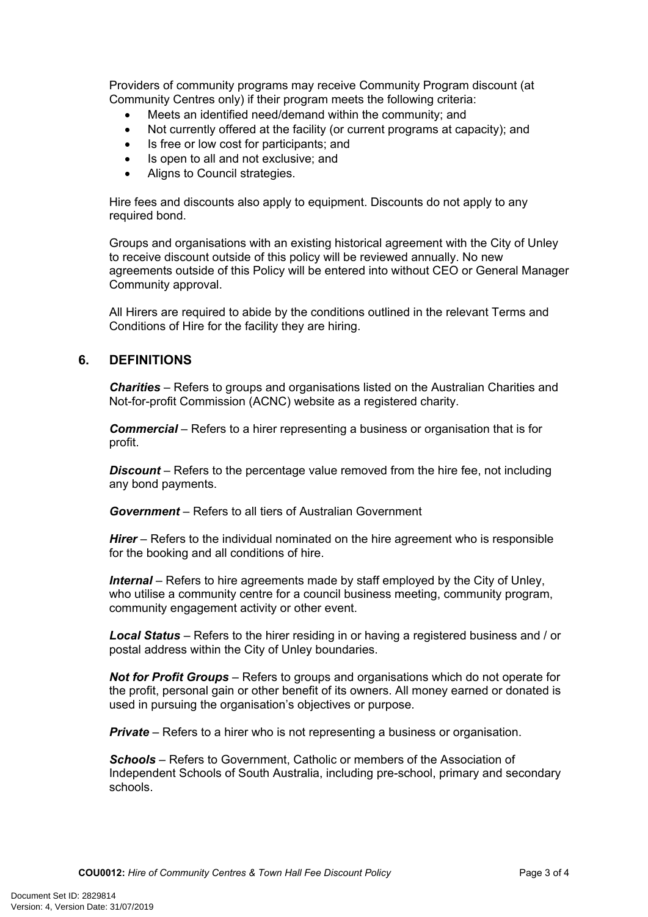Providers of community programs may receive Community Program discount (at Community Centres only) if their program meets the following criteria:

- Meets an identified need/demand within the community; and
- Not currently offered at the facility (or current programs at capacity); and
- Is free or low cost for participants; and
- Is open to all and not exclusive; and
- Aligns to Council strategies.

Hire fees and discounts also apply to equipment. Discounts do not apply to any required bond.

Groups and organisations with an existing historical agreement with the City of Unley to receive discount outside of this policy will be reviewed annually. No new agreements outside of this Policy will be entered into without CEO or General Manager Community approval.

All Hirers are required to abide by the conditions outlined in the relevant Terms and Conditions of Hire for the facility they are hiring.

#### **6. DEFINITIONS**

*Charities* – Refers to groups and organisations listed on the Australian Charities and Not-for-profit Commission (ACNC) website as a registered charity.

*Commercial* – Refers to a hirer representing a business or organisation that is for profit.

*Discount* – Refers to the percentage value removed from the hire fee, not including any bond payments.

*Government* – Refers to all tiers of Australian Government

*Hirer* – Refers to the individual nominated on the hire agreement who is responsible for the booking and all conditions of hire.

*Internal* – Refers to hire agreements made by staff employed by the City of Unley, who utilise a community centre for a council business meeting, community program, community engagement activity or other event.

*Local Status* – Refers to the hirer residing in or having a registered business and / or postal address within the City of Unley boundaries.

*Not for Profit Groups* – Refers to groups and organisations which do not operate for the profit, personal gain or other benefit of its owners. All money earned or donated is used in pursuing the organisation's objectives or purpose.

*Private* – Refers to a hirer who is not representing a business or organisation.

*Schools* – Refers to Government, Catholic or members of the Association of Independent Schools of South Australia, including pre-school, primary and secondary schools.